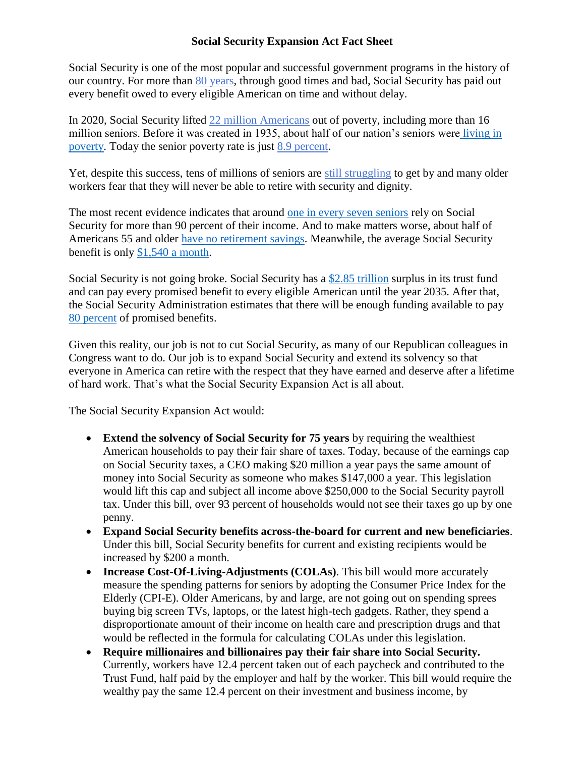## **Social Security Expansion Act Fact Sheet**

Social Security is one of the most popular and successful government programs in the history of our country. For more than [80 years,](https://www.ssa.gov/pubs/EN-05-10024.pdf) through good times and bad, Social Security has paid out every benefit owed to every eligible American on time and without delay.

In 2020, Social Security lifted [22 million Americans](https://www.cbpp.org/research/social-security/social-security-keeps-22-million-americans-out-of-poverty-a-state-by-state) out of poverty, including more than 16 million seniors. Before it was created in 1935, about half of our nation's seniors were [living in](https://www.politifact.com/truth-o-meter/statements/2010/aug/17/eddie-bernice-johnson/texas-congresswoman-eddie-bernice-johnson-says-soc/)  [poverty.](https://www.politifact.com/truth-o-meter/statements/2010/aug/17/eddie-bernice-johnson/texas-congresswoman-eddie-bernice-johnson-says-soc/) Today the senior poverty rate is just [8.9 percent.](https://www.census.gov/library/publications/2021/demo/p60-273.html)

Yet, despite this success, tens of millions of seniors are [still struggling](https://crsreports.congress.gov/product/pdf/R/R45791) to get by and many older workers fear that they will never be able to retire with security and dignity.

The most recent evidence indicates that around [one in every seven seniors](https://www.ssa.gov/policy/docs/workingpapers/wp116.html) rely on Social Security for more than 90 percent of their income. And to make matters worse, about half of Americans 55 and older [have no retirement savings.](https://www.census.gov/library/stories/2022/01/women-more-likely-than-men-to-have-no-retirement-savings.html) Meanwhile, the average Social Security benefit is only [\\$1,540 a month.](https://www.ssa.gov/policy/docs/quickfacts/stat_snapshot/)

Social Security is not going broke. Social Security has a [\\$2.85 trillion](https://www.ssa.gov/policy/trust-funds-summary.html) surplus in its trust fund and can pay every promised benefit to every eligible American until the year 2035. After that, the Social Security Administration estimates that there will be enough funding available to pay [80 percent](https://www.ssa.gov/oact/TRSUM/) of promised benefits.

Given this reality, our job is not to cut Social Security, as many of our Republican colleagues in Congress want to do. Our job is to expand Social Security and extend its solvency so that everyone in America can retire with the respect that they have earned and deserve after a lifetime of hard work. That's what the Social Security Expansion Act is all about.

The Social Security Expansion Act would:

- **Extend the solvency of Social Security for 75 years** by requiring the wealthiest American households to pay their fair share of taxes. Today, because of the earnings cap on Social Security taxes, a CEO making \$20 million a year pays the same amount of money into Social Security as someone who makes \$147,000 a year. This legislation would lift this cap and subject all income above \$250,000 to the Social Security payroll tax. Under this bill, over 93 percent of households would not see their taxes go up by one penny.
- **Expand Social Security benefits across-the-board for current and new beneficiaries**. Under this bill, Social Security benefits for current and existing recipients would be increased by \$200 a month.
- **Increase Cost-Of-Living-Adjustments (COLAs)**. This bill would more accurately measure the spending patterns for seniors by adopting the Consumer Price Index for the Elderly (CPI-E). Older Americans, by and large, are not going out on spending sprees buying big screen TVs, laptops, or the latest high-tech gadgets. Rather, they spend a disproportionate amount of their income on health care and prescription drugs and that would be reflected in the formula for calculating COLAs under this legislation.
- **Require millionaires and billionaires pay their fair share into Social Security.**  Currently, workers have 12.4 percent taken out of each paycheck and contributed to the Trust Fund, half paid by the employer and half by the worker. This bill would require the wealthy pay the same 12.4 percent on their investment and business income, by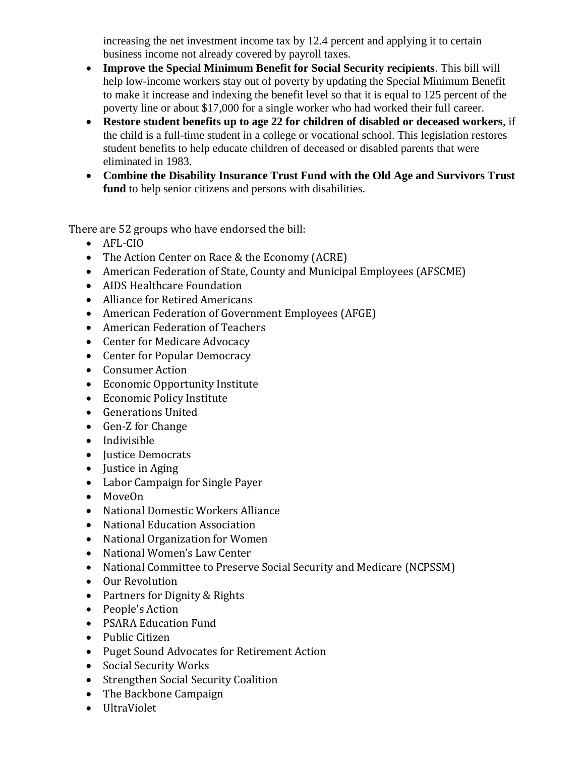increasing the net investment income tax by 12.4 percent and applying it to certain business income not already covered by payroll taxes.

- **Improve the Special Minimum Benefit for Social Security recipients**. This bill will help low-income workers stay out of poverty by updating the Special Minimum Benefit to make it increase and indexing the benefit level so that it is equal to 125 percent of the poverty line or about \$17,000 for a single worker who had worked their full career.
- **Restore student benefits up to age 22 for children of disabled or deceased workers**, if the child is a full-time student in a college or vocational school. This legislation restores student benefits to help educate children of deceased or disabled parents that were eliminated in 1983.
- **Combine the Disability Insurance Trust Fund with the Old Age and Survivors Trust fund** to help senior citizens and persons with disabilities.

There are 52 groups who have endorsed the bill:

- AFL-CIO
- The Action Center on Race & the Economy (ACRE)
- American Federation of State, County and Municipal Employees (AFSCME)
- AIDS Healthcare Foundation
- Alliance for Retired Americans
- American Federation of Government Employees (AFGE)
- American Federation of Teachers
- Center for Medicare Advocacy
- Center for Popular Democracy
- Consumer Action
- Economic Opportunity Institute
- Economic Policy Institute
- Generations United
- Gen-Z for Change
- Indivisible
- Justice Democrats
- $\bullet$  Justice in Aging
- Labor Campaign for Single Payer
- MoveOn
- National Domestic Workers Alliance
- National Education Association
- National Organization for Women
- National Women's Law Center
- National Committee to Preserve Social Security and Medicare (NCPSSM)
- Our Revolution
- Partners for Dignity & Rights
- People's Action
- PSARA Education Fund
- Public Citizen
- Puget Sound Advocates for Retirement Action
- Social Security Works
- Strengthen Social Security Coalition
- The Backbone Campaign
- UltraViolet